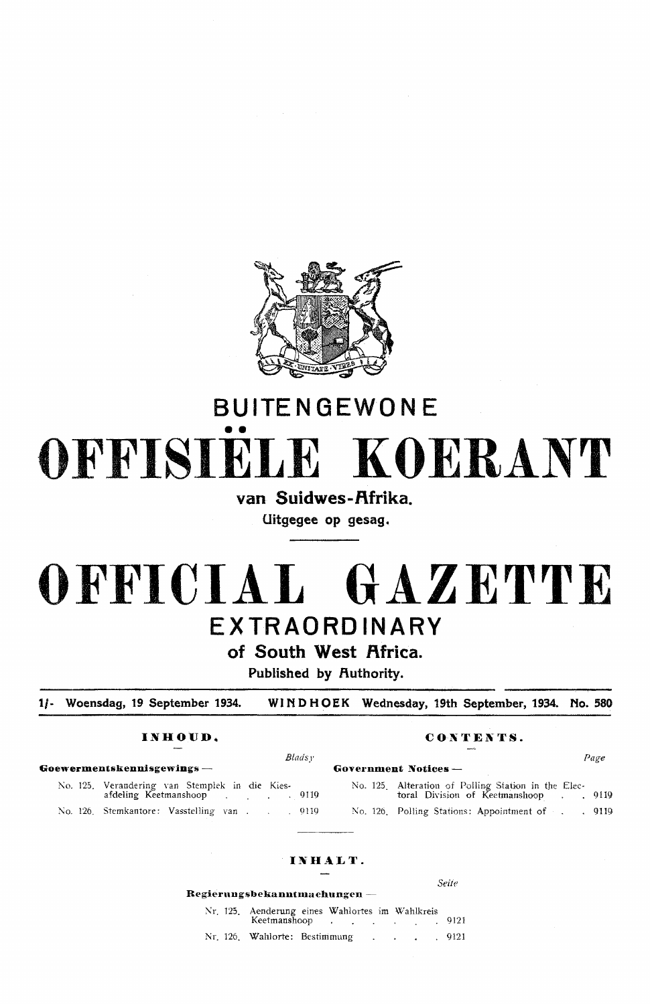

# **BUITE N GEWO NE**  •• **OFFISIELE KOERANT**

## van Suidwes-Afrika.

**Uitgegee op gesag.** 

# **OFFICIAL GAZETTE EXTRAORDINARY**

**of South West f\frica.** 

**Published by Authority.** 

**1/- Woensdag, 19 September 1934. WINDHOEK Wednesday, 19th September, 1934. No. 580** 

### **INHOUD. CONTENTS.**

*Seiie* 

| Blads v                                                                                            |                                                                                            | Page |
|----------------------------------------------------------------------------------------------------|--------------------------------------------------------------------------------------------|------|
| Goewermentskennisgewings —                                                                         | Government Notices $-$                                                                     |      |
| No. 125. Verandering van Stemplek in die Kies-<br>afdeling Keetmanshoop and the control of the 119 | No. 125. Alteration of Polling Station in the Elec-<br>toral Division of Keetmanshoop 9119 |      |
| No. 126. Stemkantore: Vasstelling van 9119                                                         | No. 126. Polling Stations: Appointment of 9119                                             |      |
|                                                                                                    |                                                                                            |      |

### INHALT.

| Regierungsbekanntmachungen — |                                                                      |  |  |  |  |  |  |
|------------------------------|----------------------------------------------------------------------|--|--|--|--|--|--|
|                              | Nr. 125. Aenderung eines Wahlortes im Wahlkreis<br>Keetmanshoop 9121 |  |  |  |  |  |  |
|                              | Nr. 126. Wahlorte: Bestimmung 9121                                   |  |  |  |  |  |  |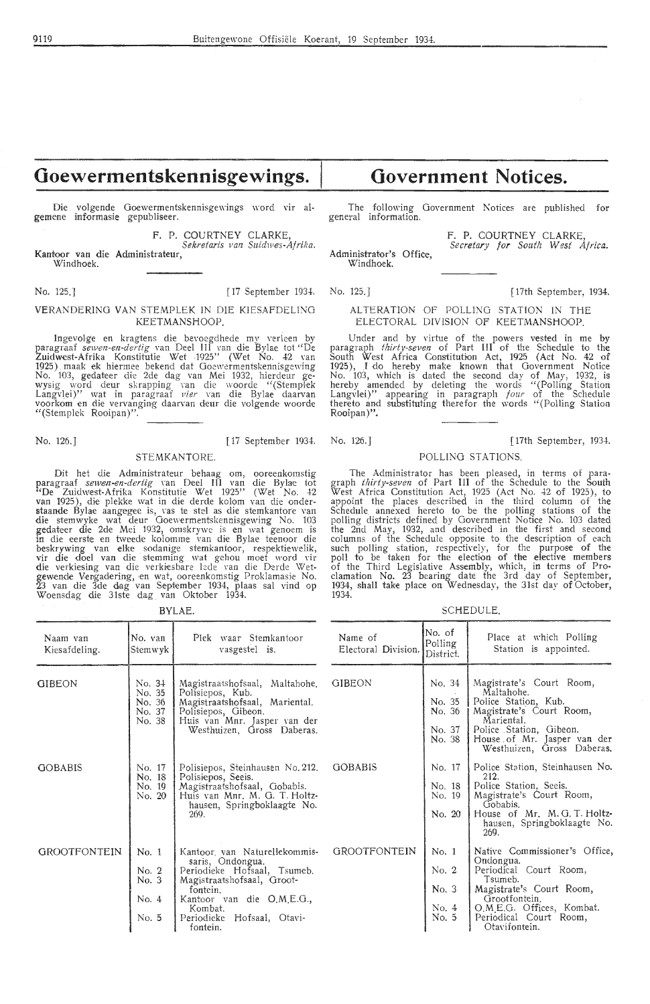## Goewermentskennisgewings.

Die volgende Goewermentskennisgewings word vir algemene informasie gepubliseer.

> F. P. COURTNEY CLARKE, *Sekretaris van Suidmes-Af rifla.*

Kantoor van die Administrateur, Windhoek.

No. 125.J [ 17 September 1934. No. 125.J [ 17th September, 1934.

#### VERANDERING VAN STEMPLEK IN DIE KIESAFDELING KEETMANSHOOP.

Ingevolge en kragtens die bevoegdhede my verleen by<br>paragraaf *sewen-en-dertig* van Deel III van die Bylae tot "De<br>Zuidwest-Afrika Konstitutie Wet -1925'' (Wet No. 42 van 1925) . maak •ek hiermee bekend dat Goewcrmentskennisgewing No. 103, gedateer die 2de dag van Mei 1932, hiercleur gewysig word deur skrapping van die woorde "(Stemplek Langvlei)" wat in .paragraaf *vier* van die Bylae daarvan voorkom en die vervanging daarvan deur die volgende woorde "(Stemplek Rooipan)".

STEMKANTORE.

Dit het die Administrateur behaag om, ooreenkomstig paragraaf *sewen-en-dertig* van Deel III van die Bylae tot "De Zuidwest-Afrika Konstitutie Wet 1925'' (Wet No. 42<br>van 1925), die plekke wat in die derde kolom van die onder**staande** Bylae aangegee is, vas te stel as die stemkantore van<br>die stemwyke wat deur Goewermentskennisgewing No. 103 g,edateer die 2de Mei 1932, omskrywe is ·en wat genoem is in die eerste en tweede kolomme van die Bylae teenoor die beskrywing van elke sodanige stemkantoor, respektiewelik, vir die doel van die stemming wat gehou moef word vir<br>die verkiesing van die verkiesbare lede van die Derde Wetgewende Vengadering, en wat, ooreenkomstig Proklamasie No.<br>23 van die 3de dag van September 1934, plaas sal vind op Woensdag die 31ste dag van Oktober 1934.

BYLAE.

## **Government Notices.**

The following Government Notices are published for general information.

Administrator's Office, Windhoek. F. P. COURTNEY CLARKE, *Secretary for South West Africa.* 

#### ALTERATION OF POLLING STATION IN THE ELECTORAL DIVISION OF . KEETMANSHOOP.

Under and by virtue of the powers vested in me by paragraph *thirty-seven* of Part III of the Schedule to the South West Africa Constitution Act, 1925 (Act No. 42 of 1925), I do hereby make known that Government Notice No. 103, which is dated the second day of May, 1932, is hereby amended by deleting the words "(Polling Station Langvlei)" appearing in paragraph *four* of the Schedule thereto and substituting therefor the words "(Polling Station Rooipan)".

#### No. 126.) [ 17 September 1934. No. 126. J *[* 17th September, 1934.

#### POLLING STATIONS.

The Administrator has been pleased, in terms of para-graph *ihirty-seven* of Part III of the Schedule to the South West Africa Constitution Act, 1925 (Act No. 42 of 1925), to appoint the places described in the third column of the Schedule annexed hereto to be the polling stations of the polling districts defined by Government Notice No. 103 dated the 2nd May, 1932, and described in the first and second columns of the Schedule opposite to the description of each such polling station, respectively, for the purpose of the poll to be taken for the election of the elective members of the Third Legislative Assembly, which, in terms of Proclamation No. 23 bearing date the 3rd day of September, 1934, shall take place on Wednesday, the 31st day of October, 1934.

SCHEDULE.

| Naam van<br>Kiesafdeling. | No. van<br>Stemwyk                             | Plek waar Stemkantoor<br>vasgestel is.                                                                                                                                                                         | Name of<br>Electoral Division. | No. of<br>Polling<br>District.                 | Place at which Polling<br>Station is appointed.                                                                                                                                                      |
|---------------------------|------------------------------------------------|----------------------------------------------------------------------------------------------------------------------------------------------------------------------------------------------------------------|--------------------------------|------------------------------------------------|------------------------------------------------------------------------------------------------------------------------------------------------------------------------------------------------------|
| <b>GIBEON</b>             | No. 34<br>No. 35<br>No. 36<br>No. 37<br>No. 38 | Magistraatshofsaal, Maltahohe,<br>Polisiepos, Kub.<br>Magistraatshofsaal, Mariental.<br>Polisiepos, Gibeon.<br>Huis van Mnr. Jasper van der<br>Westhuizen, Gross Daberas.                                      | <b>GIBEON</b>                  | No. 34<br>No. 35<br>No. 36<br>No. 37<br>No. 38 | Magistrate's Court Room,<br>Maltahohe.<br>Police Station, Kub.<br>Magistrate's Court Room,<br>Mariental.<br>Police Station, Gibeon.<br>House of Mr. Jasper van der<br>Westhuizen, Gross Daberas,     |
| <b>GOBABIS</b>            | No. 17<br>No. 18<br>No. 19<br>No. 20           | Polisiepos, Steinhausen No. 212.<br>Polisiepos, Seeis.<br>Magistraatshofsaal, Gobabis.<br>Huis van Mnr. M. G. T. Holtz-<br>hausen, Springboklaagte No.<br>269.                                                 | <b>GOBABIS</b>                 | No. 17<br>No. 18<br>No. 19<br>No. 20           | Police Station, Steinhausen No.<br>212.<br>Police Station, Seeis.<br>Magistrate's Court Room,<br>Gobabis.<br>House of Mr. M.G.T. Holtz-<br>hausen, Springboklaagte No.<br>269.                       |
| GROOTFONTEIN.             | No. 1<br>No. 2<br>No. 3<br>No. 4<br>No. 5      | Kantoor van Naturellekommis-<br>saris, Ondongua.<br>Periodieke Hofsaal, Tsumeb.<br>Magistraatshofsaal, Groot-<br>fontein.<br>Kantoor van die O.M.E.G.,<br>Kombat.<br>Hofsaal, Otavi-<br>Periodieke<br>fontein. | <b>GROOTFONTEIN</b>            | No. 1<br>No. 2<br>No. 3<br>No. 4<br>No. 5      | Native Commissioner's Office,<br>Ondongua.<br>Periodical Court Room,<br>Tsumeb.<br>Magistrate's Court Room,<br>Grootfontein.<br>O.M.E.G. Offices, Kombat.<br>Periodical Court Room,<br>Otavifontein. |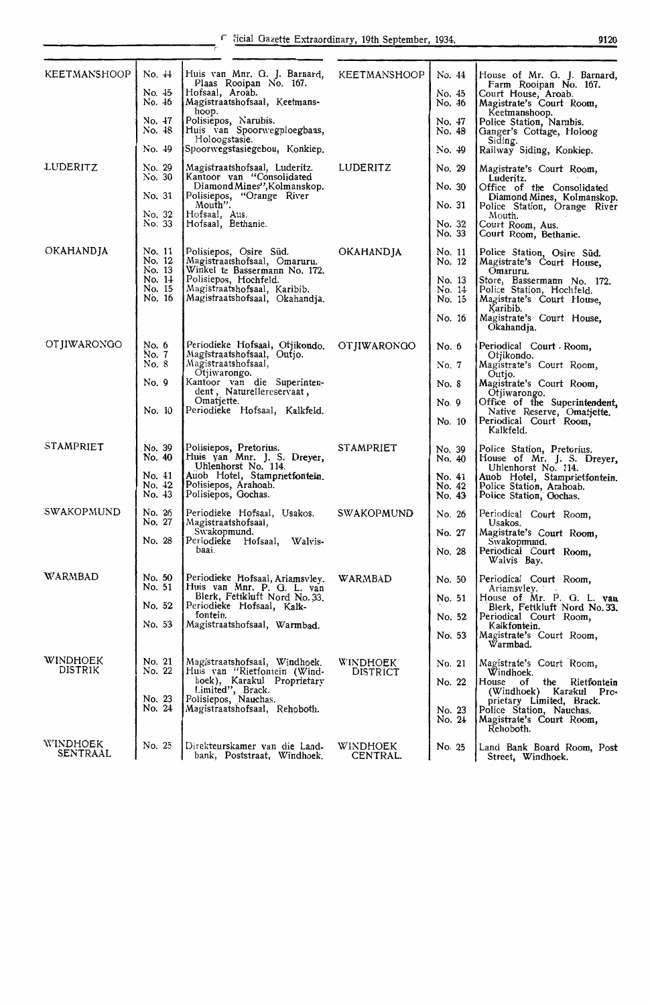| <b>KEETMANSHOOP</b>         | No. 44                     | Huis van Mnr. G. J. Barnard,<br>Plaas Rooipan No. 167.                                  | <b>KEETMANSHOOP</b>         | No. 44           | House of Mr. G. J. Barnard,<br>Farm Rooipan No. 167.                                     |
|-----------------------------|----------------------------|-----------------------------------------------------------------------------------------|-----------------------------|------------------|------------------------------------------------------------------------------------------|
|                             | No. 45<br>No. 46           | Hofsaal, Aroab.<br>Magistraatshofsaal, Keetmans-<br>hoop.                               |                             | No. 45<br>No. 46 | Court House, Aroab.<br>Magistrate's Court Room,<br>Keetmanshoop.                         |
|                             | No. 47<br>No. 48           | Polisiepos, Narubis.<br>Huis van Spoorwegploegbaas,                                     |                             | No. 47<br>No. 48 | Police Station, Narubis.<br>Ganger's Cottage, Holoog                                     |
|                             | No. 49                     | Holoogstasie.<br>Spoorwegstasiegebou, Konkiep.                                          |                             | No. 49           | Siding.<br>Railway Siding, Konkiep.                                                      |
| LUDERITZ                    | No. 29<br>No. 30           | Magistraatshofsaal, Luderitz.<br>Kantoor van "Consolidated                              | LUDERITZ                    | No. 29           | Magistrate's Court Room,<br>Luderitz.                                                    |
|                             | No. 31                     | Diamond Mines", Kolmanskop.<br>Polisiepos, "Orange River<br>Mouth".                     |                             | No. 30<br>No. 31 | Office of the Consolidated<br>Diamond Mines, Kolmanskop.<br>Police Station, Orange River |
|                             | No. 32<br>No. 33           | Hofsaal, Aus.<br>Hofsaal, Bethanie.                                                     |                             | No. 32           | Mouth.<br>Court Room, Aus.                                                               |
|                             |                            |                                                                                         |                             | No. 33           | Court Room, Bethanie.                                                                    |
| <b>OKAHANDJA</b>            | No. 11<br>No. 12<br>No. 13 | Polisiepos, Osire Süd.<br>Magistraatshofsaal, Omaruru.<br>Winkel te Bassermann No. 172. | OKAHANDJA                   | No. 11<br>No. 12 | Police Station, Osire Süd.<br>Magistrate's Court House,<br>Omaruru.                      |
|                             | No. $1\pm$<br>No. 15       | Polisiepos, Hochfeld.<br>Magistraatshofsaal, Karibib.                                   |                             | No. 13<br>No. 14 | Store, Bassermann No. 172.<br>Police Station, Hochfeld.                                  |
|                             | No. 16                     | Magistraatshofsaal, Okahandja.                                                          |                             | No. 15           | Magistrate's Court House,<br>Karibib.                                                    |
|                             |                            |                                                                                         |                             | No. 16           | Magistrate's Court House,<br>Okahandja.                                                  |
| OTJIWARONGO                 | No. 6<br>No. 7             | Periodieke Hofsaal, Otjikondo.<br>Magistraatshofsaal, Outjo.                            | OTJIWARONGO                 | No. 6            | Periodical Court Room,<br>Otjikondo.                                                     |
|                             | No. 8                      | Magistraatshofsaal,<br>Otjiwarongo.                                                     |                             | No. 7            | Magistrate's Court Room,<br>Outjo.                                                       |
|                             | No. 9                      | Kantoor van die Superinten-<br>dent, Naturellereservaat,                                |                             | No. 8            | Magistrate's Court Room,<br>Otjiwarongo.                                                 |
|                             | No. 10                     | Omatjette.<br>Periodieke Hofsaal, Kalkfeld.                                             |                             | No. 9            | Office of the Superintendent,<br>Native Reserve, Omatjette.                              |
|                             |                            |                                                                                         |                             | No. 10           | Periodical Court Room,<br>Kalkfeld.                                                      |
| STAMPRIET                   | No. 39<br>No. 40           | Polisiepos, Pretorius.<br>Huis yan Mnr. J. S. Dreyer,<br>Uhlenhorst No. 114.            | <b>STAMPRIET</b>            | No. 39<br>No. 40 | Police Station, Pretorius.<br>House of Mr. J. S. Dreyer,<br>Uhlenhorst No. 114.          |
|                             | No. 41<br>No. 42           | Auob Hotel, Stamprietfontein.<br>Polisiepos, Arahoab.                                   |                             | No. 41<br>No. 42 | Auob Hotel, Stamprietfontein.<br>Police Station, Arahoab.                                |
|                             | No. 43                     | Polisiepos, Gochas.                                                                     |                             | No. 43           | Police Station, Gochas.                                                                  |
| <b>SWAKOPMUND</b>           | No. 26<br>No. 27           | Periodieke Hofsaal, Usakos.<br>Magistraatshofsaal,                                      | <b>SWAKOPMUND</b>           | No. 26           | Periodical Court Room,<br>Usakos.                                                        |
|                             | No. 28                     | Swakopmund.<br>Periodieke Hofsaal, Walvis-                                              |                             | No. 27           | Magistrate's Court Room,<br>Swakopmund.                                                  |
|                             |                            | baai.                                                                                   |                             | No. 28           | Periodical Court Room,<br>Walvis Bay.                                                    |
| WARMBAD                     | No. 50<br>No. 51           | Periodieke Hofsaal, Ariamsvlev.<br>Huis van Mnr. P. G. L. van                           | WARMBAD                     | No. 50           | Periodical Court Room,<br>Ariamsvley.                                                    |
|                             | No. 52                     | Blerk, Fettkluft Nord No. 33.<br>Periodieke Hofsaal, Kalk-                              |                             | No. 51           | House of Mr. P. G. L. van<br>Blerk, Fettkluft Nord No. 33.                               |
|                             | No. 53                     | fontein.<br>Magistraatshofsaal, Warmbad.                                                |                             | No. 52           | Periodical Court Room,<br>Kalkfontein.                                                   |
|                             |                            |                                                                                         |                             | No. 53           | Magistrate's Court Room,<br>Warmbad.                                                     |
| WINDHOEK<br>DISTRIK         | No. 21<br>No. 22           | Magistraatshofsaal, Windhoek.<br>Huis van "Rietfontein (Wind-                           | WINDHOEK<br><b>DISTRICT</b> | No. 21           | Magistrate's Court Room.<br>Windhoek.                                                    |
|                             |                            | hoek), Karakul Proprietary<br>Limited", Brack.<br>Polisiepos, Nauchas.                  |                             | No. 22           | House<br>the<br>of<br>Rietfontein<br>(Windhoek) Karakul Pro-                             |
|                             | No. 23<br>No. 24           | Magistraatshofsaal, Rehoboth.                                                           |                             | No. 23           | prietary Limited, Brack.<br>Police Station, Nauchas.                                     |
|                             |                            |                                                                                         |                             | No. 24           | Magistrate's Court Room,<br>Rehoboth.                                                    |
| WINDHOEK<br><b>SENTRAAL</b> | No. 25                     | Direkteurskamer van die Land-<br>bank, Poststraat, Windhoek.                            | WINDHOEK<br>CENTRAL.        | No. 25           | Land Bank Board Room, Post<br>Street, Windhoek.                                          |